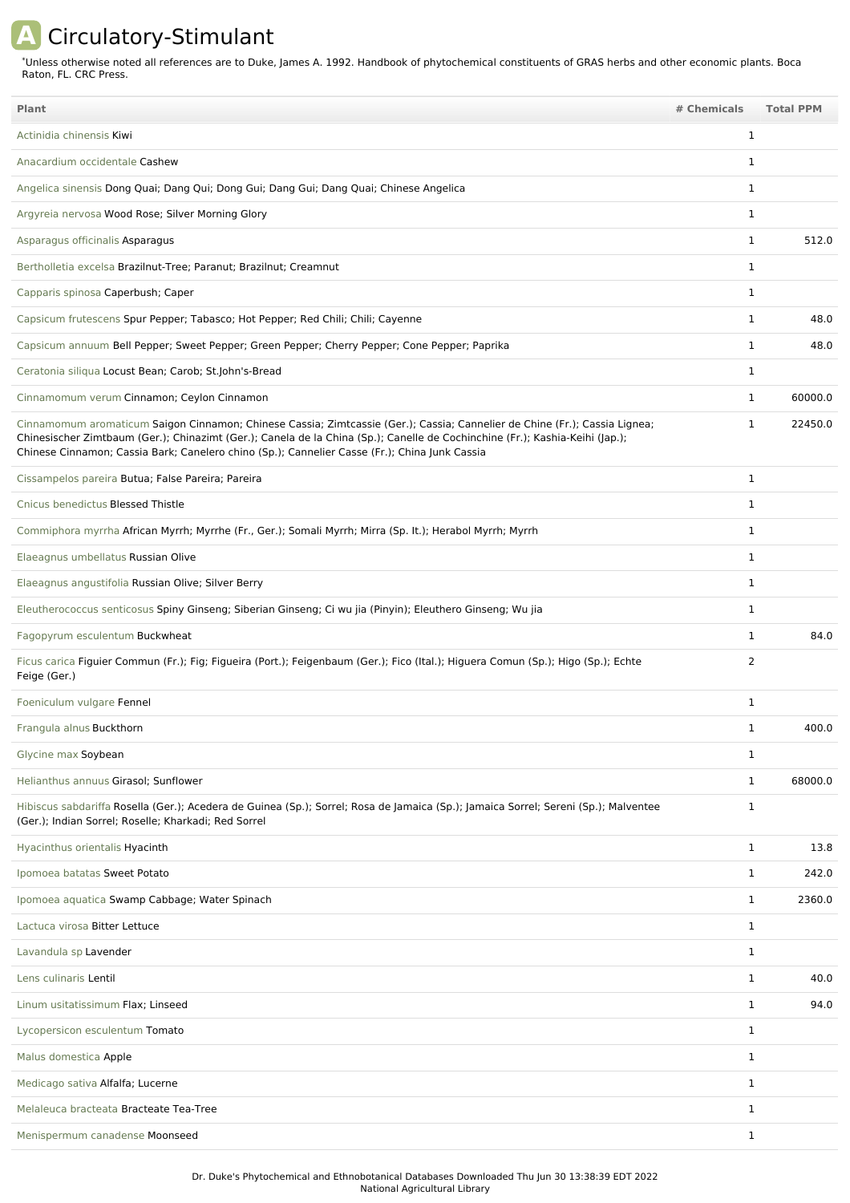## **A** Circulatory-Stimulant

Unless otherwise noted all references are to Duke, James A. 1992. Handbook of phytochemical constituents of GRAS herbs and other economic plants. Boca Raton, FL. CRC Press. \*

| Plant                                                                                                                                                                                                                                                                                                                                                       | # Chemicals  | <b>Total PPM</b> |
|-------------------------------------------------------------------------------------------------------------------------------------------------------------------------------------------------------------------------------------------------------------------------------------------------------------------------------------------------------------|--------------|------------------|
| Actinidia chinensis Kiwi                                                                                                                                                                                                                                                                                                                                    | 1            |                  |
| Anacardium occidentale Cashew                                                                                                                                                                                                                                                                                                                               | 1            |                  |
| Angelica sinensis Dong Quai; Dang Qui; Dong Gui; Dang Gui; Dang Quai; Chinese Angelica                                                                                                                                                                                                                                                                      | 1            |                  |
| Argyreia nervosa Wood Rose; Silver Morning Glory                                                                                                                                                                                                                                                                                                            | 1            |                  |
| Asparagus officinalis Asparagus                                                                                                                                                                                                                                                                                                                             | 1            | 512.0            |
| Bertholletia excelsa Brazilnut-Tree; Paranut; Brazilnut; Creamnut                                                                                                                                                                                                                                                                                           | 1            |                  |
| Capparis spinosa Caperbush; Caper                                                                                                                                                                                                                                                                                                                           | 1            |                  |
| Capsicum frutescens Spur Pepper; Tabasco; Hot Pepper; Red Chili; Chili; Cayenne                                                                                                                                                                                                                                                                             | $\mathbf{1}$ | 48.0             |
| Capsicum annuum Bell Pepper; Sweet Pepper; Green Pepper; Cherry Pepper; Cone Pepper; Paprika                                                                                                                                                                                                                                                                | $\mathbf 1$  | 48.0             |
| Ceratonia siliqua Locust Bean; Carob; St.John's-Bread                                                                                                                                                                                                                                                                                                       | $\mathbf 1$  |                  |
| Cinnamomum verum Cinnamon; Ceylon Cinnamon                                                                                                                                                                                                                                                                                                                  | $\mathbf{1}$ | 60000.0          |
| Cinnamomum aromaticum Saigon Cinnamon; Chinese Cassia; Zimtcassie (Ger.); Cassia; Cannelier de Chine (Fr.); Cassia Lignea;<br>Chinesischer Zimtbaum (Ger.); Chinazimt (Ger.); Canela de la China (Sp.); Canelle de Cochinchine (Fr.); Kashia-Keihi (Jap.);<br>Chinese Cinnamon; Cassia Bark; Canelero chino (Sp.); Cannelier Casse (Fr.); China Junk Cassia | 1            | 22450.0          |
| Cissampelos pareira Butua; False Pareira; Pareira                                                                                                                                                                                                                                                                                                           | $\mathbf{1}$ |                  |
| Cnicus benedictus Blessed Thistle                                                                                                                                                                                                                                                                                                                           | $\mathbf{1}$ |                  |
| Commiphora myrrha African Myrrh; Myrrhe (Fr., Ger.); Somali Myrrh; Mirra (Sp. It.); Herabol Myrrh; Myrrh                                                                                                                                                                                                                                                    | 1            |                  |
| Elaeagnus umbellatus Russian Olive                                                                                                                                                                                                                                                                                                                          | 1            |                  |
| Elaeagnus angustifolia Russian Olive; Silver Berry                                                                                                                                                                                                                                                                                                          | 1            |                  |
| Eleutherococcus senticosus Spiny Ginseng; Siberian Ginseng; Ci wu jia (Pinyin); Eleuthero Ginseng; Wu jia                                                                                                                                                                                                                                                   | 1            |                  |
| Fagopyrum esculentum Buckwheat                                                                                                                                                                                                                                                                                                                              | 1            | 84.0             |
| Ficus carica Figuier Commun (Fr.); Fig; Figueira (Port.); Feigenbaum (Ger.); Fico (Ital.); Higuera Comun (Sp.); Higo (Sp.); Echte<br>Feige (Ger.)                                                                                                                                                                                                           | 2            |                  |
| Foeniculum vulgare Fennel                                                                                                                                                                                                                                                                                                                                   | 1            |                  |
| Frangula alnus Buckthorn                                                                                                                                                                                                                                                                                                                                    | 1            | 400.0            |
| Glycine max Soybean                                                                                                                                                                                                                                                                                                                                         | 1            |                  |
| Helianthus annuus Girasol; Sunflower                                                                                                                                                                                                                                                                                                                        | 1            | 68000.0          |
| Hibiscus sabdariffa Rosella (Ger.); Acedera de Guinea (Sp.); Sorrel; Rosa de Jamaica (Sp.); Jamaica Sorrel; Sereni (Sp.); Malventee<br>(Ger.); Indian Sorrel; Roselle; Kharkadi; Red Sorrel                                                                                                                                                                 | $\mathbf{1}$ |                  |
| Hyacinthus orientalis Hyacinth                                                                                                                                                                                                                                                                                                                              | $\mathbf{1}$ | 13.8             |
| Ipomoea batatas Sweet Potato                                                                                                                                                                                                                                                                                                                                | 1            | 242.0            |
| Ipomoea aquatica Swamp Cabbage; Water Spinach                                                                                                                                                                                                                                                                                                               | 1            | 2360.0           |
| Lactuca virosa Bitter Lettuce                                                                                                                                                                                                                                                                                                                               | $\mathbf{1}$ |                  |
| Lavandula sp Lavender                                                                                                                                                                                                                                                                                                                                       | 1            |                  |
| Lens culinaris Lentil                                                                                                                                                                                                                                                                                                                                       | 1            | 40.0             |
| Linum usitatissimum Flax; Linseed                                                                                                                                                                                                                                                                                                                           | 1            | 94.0             |
| Lycopersicon esculentum Tomato                                                                                                                                                                                                                                                                                                                              | $\mathbf{1}$ |                  |
| Malus domestica Apple                                                                                                                                                                                                                                                                                                                                       | $\mathbf{1}$ |                  |
| Medicago sativa Alfalfa; Lucerne                                                                                                                                                                                                                                                                                                                            | $\mathbf{1}$ |                  |
| Melaleuca bracteata Bracteate Tea-Tree                                                                                                                                                                                                                                                                                                                      | 1            |                  |
| Menispermum canadense Moonseed                                                                                                                                                                                                                                                                                                                              | 1            |                  |